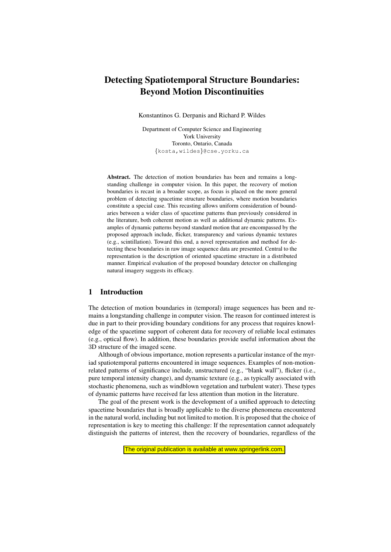# Detecting Spatiotemporal Structure Boundaries: Beyond Motion Discontinuities

Konstantinos G. Derpanis and Richard P. Wildes

Department of Computer Science and Engineering York University Toronto, Ontario, Canada {kosta,wildes}@cse.yorku.ca

Abstract. The detection of motion boundaries has been and remains a longstanding challenge in computer vision. In this paper, the recovery of motion boundaries is recast in a broader scope, as focus is placed on the more general problem of detecting spacetime structure boundaries, where motion boundaries constitute a special case. This recasting allows uniform consideration of boundaries between a wider class of spacetime patterns than previously considered in the literature, both coherent motion as well as additional dynamic patterns. Examples of dynamic patterns beyond standard motion that are encompassed by the proposed approach include, flicker, transparency and various dynamic textures (e.g., scintillation). Toward this end, a novel representation and method for detecting these boundaries in raw image sequence data are presented. Central to the representation is the description of oriented spacetime structure in a distributed manner. Empirical evaluation of the proposed boundary detector on challenging natural imagery suggests its efficacy.

# 1 Introduction

The detection of motion boundaries in (temporal) image sequences has been and remains a longstanding challenge in computer vision. The reason for continued interest is due in part to their providing boundary conditions for any process that requires knowledge of the spacetime support of coherent data for recovery of reliable local estimates (e.g., optical flow). In addition, these boundaries provide useful information about the 3D structure of the imaged scene.

Although of obvious importance, motion represents a particular instance of the myriad spatiotemporal patterns encountered in image sequences. Examples of non-motionrelated patterns of significance include, unstructured (e.g., "blank wall"), flicker (i.e., pure temporal intensity change), and dynamic texture (e.g., as typically associated with stochastic phenomena, such as windblown vegetation and turbulent water). These types of dynamic patterns have received far less attention than motion in the literature.

The goal of the present work is the development of a unified approach to detecting spacetime boundaries that is broadly applicable to the diverse phenomena encountered in the natural world, including but not limited to motion. It is proposed that the choice of representation is key to meeting this challenge: If the representation cannot adequately distinguish the patterns of interest, then the recovery of boundaries, regardless of the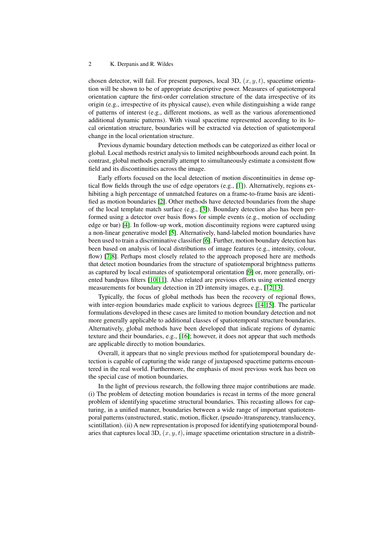### 2 K. Derpanis and R. Wildes

chosen detector, will fail. For present purposes, local 3D,  $(x, y, t)$ , spacetime orientation will be shown to be of appropriate descriptive power. Measures of spatiotemporal orientation capture the first-order correlation structure of the data irrespective of its origin (e.g., irrespective of its physical cause), even while distinguishing a wide range of patterns of interest (e.g., different motions, as well as the various aforementioned additional dynamic patterns). With visual spacetime represented according to its local orientation structure, boundaries will be extracted via detection of spatiotemporal change in the local orientation structure.

Previous dynamic boundary detection methods can be categorized as either local or global. Local methods restrict analysis to limited neighbourhoods around each point. In contrast, global methods generally attempt to simultaneously estimate a consistent flow field and its discontinuities across the image.

Early efforts focused on the local detection of motion discontinuities in dense optical flow fields through the use of edge operators (e.g., [\[1\]](#page-10-0)). Alternatively, regions exhibiting a high percentage of unmatched features on a frame-to-frame basis are identified as motion boundaries [\[2\]](#page-10-1). Other methods have detected boundaries from the shape of the local template match surface (e.g., [\[3\]](#page-10-2)). Boundary detection also has been performed using a detector over basis flows for simple events (e.g., motion of occluding edge or bar) [\[4\]](#page-10-3). In follow-up work, motion discontinuity regions were captured using a non-linear generative model [\[5\]](#page-10-4). Alternatively, hand-labeled motion boundaries have been used to train a discriminative classifier [\[6\]](#page-10-5). Further, motion boundary detection has been based on analysis of local distributions of image features (e.g., intensity, colour, flow) [\[7](#page-10-6)[,8\]](#page-10-7). Perhaps most closely related to the approach proposed here are methods that detect motion boundaries from the structure of spatiotemporal brightness patterns as captured by local estimates of spatiotemporal orientation [\[9\]](#page-10-8) or, more generally, oriented bandpass filters [\[10,](#page-10-9)[11\]](#page-10-10). Also related are previous efforts using oriented energy measurements for boundary detection in 2D intensity images, e.g., [\[12,](#page-10-11)[13\]](#page-10-12).

Typically, the focus of global methods has been the recovery of regional flows, with inter-region boundaries made explicit to various degrees [\[14](#page-10-13)[,15\]](#page-10-14). The particular formulations developed in these cases are limited to motion boundary detection and not more generally applicable to additional classes of spatiotemporal structure boundaries. Alternatively, global methods have been developed that indicate regions of dynamic texture and their boundaries, e.g., [\[16\]](#page-10-15); however, it does not appear that such methods are applicable directly to motion boundaries.

Overall, it appears that no single previous method for spatiotemporal boundary detection is capable of capturing the wide range of juxtaposed spacetime patterns encountered in the real world. Furthermore, the emphasis of most previous work has been on the special case of motion boundaries.

In the light of previous research, the following three major contributions are made. (i) The problem of detecting motion boundaries is recast in terms of the more general problem of identifying spacetime structural boundaries. This recasting allows for capturing, in a unified manner, boundaries between a wide range of important spatiotemporal patterns (unstructured, static, motion, flicker, (pseudo-)transparency, translucency, scintillation). (ii) A new representation is proposed for identifying spatiotemporal boundaries that captures local 3D,  $(x, y, t)$ , image spacetime orientation structure in a distrib-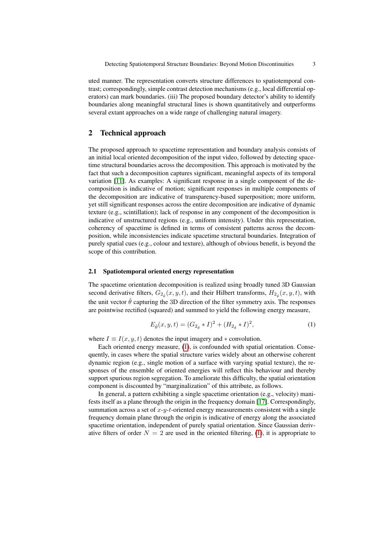uted manner. The representation converts structure differences to spatiotemporal contrast; correspondingly, simple contrast detection mechanisms (e.g., local differential operators) can mark boundaries. (iii) The proposed boundary detector's ability to identify boundaries along meaningful structural lines is shown quantitatively and outperforms several extant approaches on a wide range of challenging natural imagery.

## 2 Technical approach

The proposed approach to spacetime representation and boundary analysis consists of an initial local oriented decomposition of the input video, followed by detecting spacetime structural boundaries across the decomposition. This approach is motivated by the fact that such a decomposition captures significant, meaningful aspects of its temporal variation [\[11\]](#page-10-10). As examples: A significant response in a single component of the decomposition is indicative of motion; significant responses in multiple components of the decomposition are indicative of transparency-based superposition; more uniform, yet still significant responses across the entire decomposition are indicative of dynamic texture (e.g., scintillation); lack of response in any component of the decomposition is indicative of unstructured regions (e.g., uniform intensity). Under this representation, coherency of spacetime is defined in terms of consistent patterns across the decomposition, while inconsistencies indicate spacetime structural boundaries. Integration of purely spatial cues (e.g., colour and texture), although of obvious benefit, is beyond the scope of this contribution.

#### <span id="page-2-1"></span>2.1 Spatiotemporal oriented energy representation

The spacetime orientation decomposition is realized using broadly tuned 3D Gaussian second derivative filters,  $G_{2_{\hat{\theta}}}(x, y, t)$ , and their Hilbert transforms,  $H_{2_{\hat{\theta}}}(x, y, t)$ , with the unit vector  $\hat{\theta}$  capturing the 3D direction of the filter symmetry axis. The responses are pointwise rectified (squared) and summed to yield the following energy measure,

<span id="page-2-0"></span>
$$
E_{\hat{\theta}}(x, y, t) = (G_{2_{\hat{\theta}}} * I)^2 + (H_{2_{\hat{\theta}}} * I)^2,
$$
\n(1)

where  $I \equiv I(x, y, t)$  denotes the input imagery and  $*$  convolution.

Each oriented energy measure, [\(1\)](#page-2-0), is confounded with spatial orientation. Consequently, in cases where the spatial structure varies widely about an otherwise coherent dynamic region (e.g., single motion of a surface with varying spatial texture), the responses of the ensemble of oriented energies will reflect this behaviour and thereby support spurious region segregation. To ameliorate this difficulty, the spatial orientation component is discounted by "marginalization" of this attribute, as follows.

In general, a pattern exhibiting a single spacetime orientation (e.g., velocity) manifests itself as a plane through the origin in the frequency domain [\[17\]](#page-10-16). Correspondingly, summation across a set of  $x-y-t$ -oriented energy measurements consistent with a single frequency domain plane through the origin is indicative of energy along the associated spacetime orientation, independent of purely spatial orientation. Since Gaussian derivative filters of order  $N = 2$  are used in the oriented filtering, [\(1\)](#page-2-0), it is appropriate to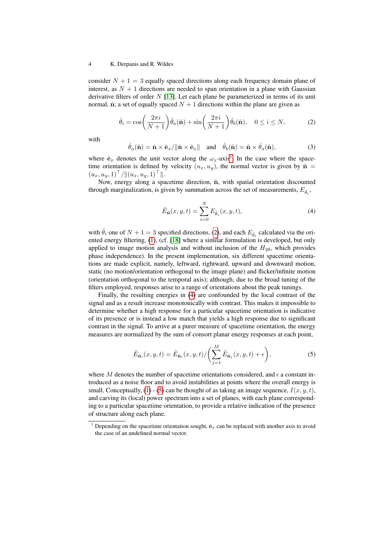#### 4 K. Derpanis and R. Wildes

consider  $N + 1 = 3$  equally spaced directions along each frequency domain plane of interest, as  $N + 1$  directions are needed to span orientation in a plane with Gaussian derivative filters of order  $N$  [\[13\]](#page-10-12). Let each plane be parameterized in terms of its unit normal,  $\hat{\mathbf{n}}$ ; a set of equally spaced  $N + 1$  directions within the plane are given as

<span id="page-3-1"></span>
$$
\hat{\theta}_i = \cos\left(\frac{2\pi i}{N+1}\right)\hat{\theta}_a(\hat{\mathbf{n}}) + \sin\left(\frac{2\pi i}{N+1}\right)\hat{\theta}_b(\hat{\mathbf{n}}), \quad 0 \le i \le N,
$$
 (2)

with

$$
\hat{\theta}_a(\hat{\mathbf{n}}) = \hat{\mathbf{n}} \times \hat{\mathbf{e}}_x / \|\hat{\mathbf{n}} \times \hat{\mathbf{e}}_x\| \quad \text{and} \quad \hat{\theta}_b(\hat{\mathbf{n}}) = \hat{\mathbf{n}} \times \hat{\theta}_a(\hat{\mathbf{n}}), \tag{3}
$$

where  $\hat{\mathbf{e}}_x$  denotes the unit vector along the  $\omega_x$ -axis<sup>[1](#page-3-0)</sup>. In the case where the spacetime orientation is defined by velocity  $(u_x, u_y)$ , the normal vector is given by  $\hat{\mathbf{n}} =$  $(u_x, u_y, 1)$ <sup>|</sup>/ $||(u_x, u_y, 1)$ <sup>|</sup> $||.$ 

Now, energy along a spacetime direction,  $\hat{n}$ , with spatial orientation discounted through marginalization, is given by summation across the set of measurements,  $E_{\hat{\theta}_i}$ ,

<span id="page-3-2"></span>
$$
\tilde{E}_{\hat{\mathbf{n}}}(x, y, t) = \sum_{i=0}^{N} E_{\hat{\theta}_i}(x, y, t),
$$
\n(4)

with  $\hat{\theta}_i$  one of  $N + 1 = 3$  specified directions, [\(2\)](#page-3-1), and each  $E_{\hat{\theta}_i}$  calculated via the oriented energy filtering, [\(1\)](#page-2-0), (cf. [\[18\]](#page-10-17) where a similar formulation is developed, but only applied to image motion analysis and without inclusion of the  $H_{2\theta}$ , which provides phase independence). In the present implementation, six different spacetime orientations are made explicit, namely, leftward, rightward, upward and downward motion, static (no motion/orientation orthogonal to the image plane) and flicker/infinite motion (orientation orthogonal to the temporal axis); although, due to the broad tuning of the filters employed, responses arise to a range of orientations about the peak tunings.

Finally, the resulting energies in [\(4\)](#page-3-2) are confounded by the local contrast of the signal and as a result increase monotonically with contrast. This makes it impossible to determine whether a high response for a particular spacetime orientation is indicative of its presence or is instead a low match that yields a high response due to significant contrast in the signal. To arrive at a purer measure of spacetime orientation, the energy measures are normalized by the sum of consort planar energy responses at each point,

<span id="page-3-3"></span>
$$
\hat{E}_{\hat{\mathbf{n}}_i}(x, y, t) = \tilde{E}_{\hat{\mathbf{n}}_i}(x, y, t) / \left(\sum_{j=1}^M \tilde{E}_{\hat{\mathbf{n}}_j}(x, y, t) + \epsilon\right),\tag{5}
$$

where M denotes the number of spacetime orientations considered, and  $\epsilon$  a constant introduced as a noise floor and to avoid instabilities at points where the overall energy is small. Conceptually, [\(1\)](#page-2-0) - [\(5\)](#page-3-3) can be thought of as taking an image sequence,  $I(x, y, t)$ , and carving its (local) power spectrum into a set of planes, with each plane corresponding to a particular spacetime orientation, to provide a relative indication of the presence of structure along each plane.

<span id="page-3-0"></span><sup>&</sup>lt;sup>1</sup> Depending on the spacetime orientation sought,  $\hat{\mathbf{e}}_x$  can be replaced with another axis to avoid the case of an undefined normal vector.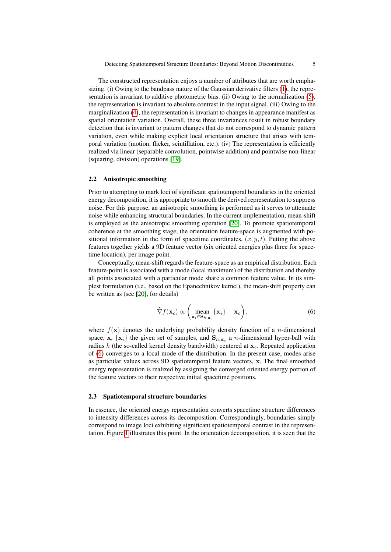The constructed representation enjoys a number of attributes that are worth emphasizing. (i) Owing to the bandpass nature of the Gaussian derivative filters [\(1\)](#page-2-0), the representation is invariant to additive photometric bias. (ii) Owing to the normalization [\(5\)](#page-3-3), the representation is invariant to absolute contrast in the input signal. (iii) Owing to the marginalization [\(4\)](#page-3-2), the representation is invariant to changes in appearance manifest as spatial orientation variation. Overall, these three invariances result in robust boundary detection that is invariant to pattern changes that do not correspond to dynamic pattern variation, even while making explicit local orientation structure that arises with temporal variation (motion, flicker, scintillation, etc.). (iv) The representation is efficiently realized via linear (separable convolution, pointwise addition) and pointwise non-linear (squaring, division) operations [\[19\]](#page-10-18).

### <span id="page-4-1"></span>2.2 Anisotropic smoothing

Prior to attempting to mark loci of significant spatiotemporal boundaries in the oriented energy decomposition, it is appropriate to smooth the derived representation to suppress noise. For this purpose, an anisotropic smoothing is performed as it serves to attenuate noise while enhancing structural boundaries. In the current implementation, mean-shift is employed as the anisotropic smoothing operation [\[20\]](#page-10-19). To promote spatiotemporal coherence at the smoothing stage, the orientation feature-space is augmented with positional information in the form of spacetime coordinates,  $(x, y, t)$ . Putting the above features together yields a 9D feature vector (six oriented energies plus three for spacetime location), per image point.

Conceptually, mean-shift regards the feature-space as an empirical distribution. Each feature-point is associated with a mode (local maximum) of the distribution and thereby all points associated with a particular mode share a common feature value. In its simplest formulation (i.e., based on the Epanechnikov kernel), the mean-shift property can be written as (see [\[20\]](#page-10-19), for details)

<span id="page-4-0"></span>
$$
\widehat{\nabla} f(\mathbf{x}_c) \propto \left( \operatorname{mean}_{\mathbf{x}_i \in \mathbf{S}_{h, \mathbf{x}_c}} \{ \mathbf{x}_i \} - \mathbf{x}_c \right),\tag{6}
$$

where  $f(\mathbf{x})$  denotes the underlying probability density function of a *n*-dimensional space, x,  $\{x_i\}$  the given set of samples, and  $S_{h,x_c}$  a *n*-dimensional hyper-ball with radius h (the so-called kernel density bandwidth) centered at  $x_c$ . Repeated application of [\(6\)](#page-4-0) converges to a local mode of the distribution. In the present case, modes arise as particular values across 9D spatiotemporal feature vectors, x. The final smoothed energy representation is realized by assigning the converged oriented energy portion of the feature vectors to their respective initial spacetime positions.

#### <span id="page-4-2"></span>2.3 Spatiotemporal structure boundaries

In essence, the oriented energy representation converts spacetime structure differences to intensity differences across its decomposition. Correspondingly, boundaries simply correspond to image loci exhibiting significant spatiotemporal contrast in the representation. Figure [1](#page-6-0) illustrates this point. In the orientation decomposition, it is seen that the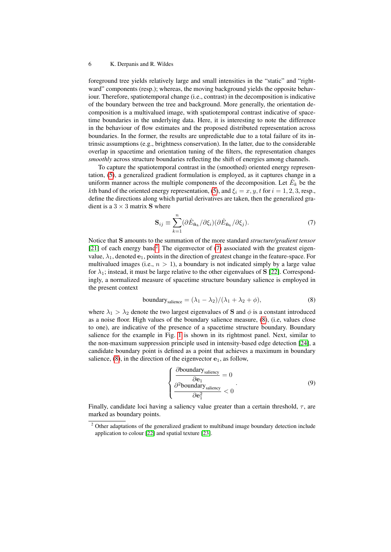#### 6 K. Derpanis and R. Wildes

foreground tree yields relatively large and small intensities in the "static" and "rightward" components (resp.); whereas, the moving background yields the opposite behaviour. Therefore, spatiotemporal change (i.e., contrast) in the decomposition is indicative of the boundary between the tree and background. More generally, the orientation decomposition is a multivalued image, with spatiotemporal contrast indicative of spacetime boundaries in the underlying data. Here, it is interesting to note the difference in the behaviour of flow estimates and the proposed distributed representation across boundaries. In the former, the results are unpredictable due to a total failure of its intrinsic assumptions (e.g., brightness conservation). In the latter, due to the considerable overlap in spacetime and orientation tuning of the filters, the representation changes *smoothly* across structure boundaries reflecting the shift of energies among channels.

To capture the spatiotemporal contrast in the (smoothed) oriented energy representation, [\(5\)](#page-3-3), a generalized gradient formulation is employed, as it captures change in a uniform manner across the multiple components of the decomposition. Let  $\hat{E}_k$  be the kth band of the oriented energy representation, [\(5\)](#page-3-3), and  $\xi_i = x, y, t$  for  $i = 1, 2, 3$ , resp., define the directions along which partial derivatives are taken, then the generalized gradient is a  $3 \times 3$  matrix **S** where

<span id="page-5-1"></span>
$$
\mathbf{S}_{ij} \equiv \sum_{k=1}^{n} (\partial \hat{E}_{\hat{\mathbf{n}}_k} / \partial \xi_i) (\partial \hat{E}_{\hat{\mathbf{n}}_k} / \partial \xi_j). \tag{7}
$$

Notice that S amounts to the summation of the more standard *structure/gradient tensor* [\[21\]](#page-10-20) of each energy band<sup>[2](#page-5-0)</sup>. The eigenvector of [\(7\)](#page-5-1) associated with the greatest eigenvalue,  $\lambda_1$ , denoted  $e_1$ , points in the direction of greatest change in the feature-space. For multivalued images (i.e.,  $n > 1$ ), a boundary is not indicated simply by a large value for  $\lambda_1$ ; instead, it must be large relative to the other eigenvalues of S [\[22\]](#page-10-21). Correspondingly, a normalized measure of spacetime structure boundary salience is employed in the present context

<span id="page-5-2"></span>boundary<sub>salience</sub> = 
$$
(\lambda_1 - \lambda_2)/(\lambda_1 + \lambda_2 + \phi)
$$
, (8)

where  $\lambda_1 > \lambda_2$  denote the two largest eigenvalues of S and  $\phi$  is a constant introduced as a noise floor. High values of the boundary salience measure, [\(8\)](#page-5-2), (i.e, values close to one), are indicative of the presence of a spacetime structure boundary. Boundary salience for the example in Fig. [1](#page-6-0) is shown in its rightmost panel. Next, similar to the non-maximum suppression principle used in intensity-based edge detection [\[24\]](#page-10-22), a candidate boundary point is defined as a point that achieves a maximum in boundary salience,  $(8)$ , in the direction of the eigenvector  $e_1$ , as follow,

<span id="page-5-3"></span>
$$
\begin{cases}\n\frac{\partial \text{boundary}_{\text{saliency}}}{\partial \mathbf{e}_1} = 0\\ \n\frac{\partial^2 \text{boundary}_{\text{saliency}}}{\partial \mathbf{e}_1^2} < 0\n\end{cases} \tag{9}
$$

Finally, candidate loci having a saliency value greater than a certain threshold,  $\tau$ , are marked as boundary points.

<span id="page-5-0"></span><sup>&</sup>lt;sup>2</sup> Other adaptations of the generalized gradient to multiband image boundary detection include application to colour [\[22\]](#page-10-21) and spatial texture [\[23\]](#page-10-23).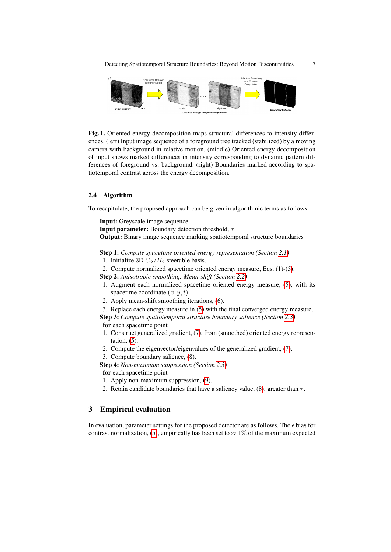Detecting Spatiotemporal Structure Boundaries: Beyond Motion Discontinuities 7



<span id="page-6-0"></span>Fig. 1. Oriented energy decomposition maps structural differences to intensity differences. (left) Input image sequence of a foreground tree tracked (stabilized) by a moving camera with background in relative motion. (middle) Oriented energy decomposition of input shows marked differences in intensity corresponding to dynamic pattern differences of foreground vs. background. (right) Boundaries marked according to spatiotemporal contrast across the energy decomposition.

### 2.4 Algorithm

To recapitulate, the proposed approach can be given in algorithmic terms as follows.

Input: Greyscale image sequence **Input parameter:** Boundary detection threshold,  $\tau$ Output: Binary image sequence marking spatiotemporal structure boundaries

Step 1: *Compute spacetime oriented energy representation (Section [2.1\)](#page-2-1)*

- 1. Initialize 3D  $G_2/H_2$  steerable basis.
- 2. Compute normalized spacetime oriented energy measure, Eqs. [\(1\)](#page-2-0)-[\(5\)](#page-3-3).

Step 2: *Anisotropic smoothing: Mean-shift (Section [2.2\)](#page-4-1)*

- 1. Augment each normalized spacetime oriented energy measure, [\(5\)](#page-3-3), with its spacetime coordinate  $(x, y, t)$ .
- 2. Apply mean-shift smoothing iterations, [\(6\)](#page-4-0).
- 3. Replace each energy measure in [\(5\)](#page-3-3) with the final converged energy measure.

Step 3: *Compute spatiotemporal structure boundary salience (Section [2.3\)](#page-4-2)* for each spacetime point

- 1. Construct generalized gradient, [\(7\)](#page-5-1), from (smoothed) oriented energy representation,  $(5)$ .
- 2. Compute the eigenvector/eigenvalues of the generalized gradient, [\(7\)](#page-5-1).
- 3. Compute boundary salience, [\(8\)](#page-5-2).
- Step 4: *Non-maximum suppression (Section [2.3\)](#page-4-2)*

for each spacetime point

- 1. Apply non-maximum suppression, [\(9\)](#page-5-3).
- 2. Retain candidate boundaries that have a saliency value, [\(8\)](#page-5-2), greater than  $\tau$ .

### 3 Empirical evaluation

In evaluation, parameter settings for the proposed detector are as follows. The  $\epsilon$  bias for contrast normalization, [\(5\)](#page-3-3), empirically has been set to  $\approx 1\%$  of the maximum expected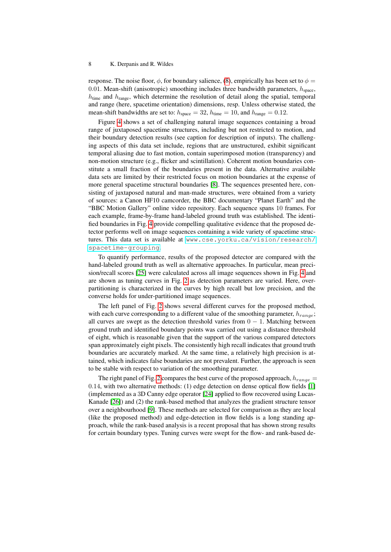response. The noise floor,  $\phi$ , for boundary salience, [\(8\)](#page-5-2), empirically has been set to  $\phi =$ 0.01. Mean-shift (anisotropic) smoothing includes three bandwidth parameters,  $h_{\text{space}}$ ,  $h_{time}$  and  $h_{range}$ , which determine the resolution of detail along the spatial, temporal and range (here, spacetime orientation) dimensions, resp. Unless otherwise stated, the mean-shift bandwidths are set to:  $h_{\text{space}} = 32$ ,  $h_{\text{time}} = 10$ , and  $h_{\text{range}} = 0.12$ .

Figure [4](#page-11-0) shows a set of challenging natural image sequences containing a broad range of juxtaposed spacetime structures, including but not restricted to motion, and their boundary detection results (see caption for description of inputs). The challenging aspects of this data set include, regions that are unstructured, exhibit significant temporal aliasing due to fast motion, contain superimposed motion (transparency) and non-motion structure (e.g., flicker and scintillation). Coherent motion boundaries constitute a small fraction of the boundaries present in the data. Alternative available data sets are limited by their restricted focus on motion boundaries at the expense of more general spacetime structural boundaries [\[8\]](#page-10-7). The sequences presented here, consisting of juxtaposed natural and man-made structures, were obtained from a variety of sources: a Canon HF10 camcorder, the BBC documentary "Planet Earth" and the "BBC Motion Gallery" online video repository. Each sequence spans 10 frames. For each example, frame-by-frame hand-labeled ground truth was established. The identified boundaries in Fig. [4](#page-11-0) provide compelling qualitative evidence that the proposed detector performs well on image sequences containing a wide variety of spacetime structures. This data set is available at [www.cse.yorku.ca/vision/research/](www.cse.yorku.ca/vision/research/spacetime-grouping) [spacetime-grouping](www.cse.yorku.ca/vision/research/spacetime-grouping).

To quantify performance, results of the proposed detector are compared with the hand-labeled ground truth as well as alternative approaches. In particular, mean precision/recall scores [\[25\]](#page-10-24) were calculated across all image sequences shown in Fig. [4](#page-11-0) and are shown as tuning curves in Fig. [2](#page-8-0) as detection parameters are varied. Here, overpartitioning is characterized in the curves by high recall but low precision, and the converse holds for under-partitioned image sequences.

The left panel of Fig. [2](#page-8-0) shows several different curves for the proposed method, with each curve corresponding to a different value of the smoothing parameter,  $h_{range}$ ; all curves are swept as the detection threshold varies from  $0 - 1$ . Matching between ground truth and identified boundary points was carried out using a distance threshold of eight, which is reasonable given that the support of the various compared detectors span approximately eight pixels. The consistently high recall indicates that ground truth boundaries are accurately marked. At the same time, a relatively high precision is attained, which indicates false boundaries are not prevalent. Further, the approach is seen to be stable with respect to variation of the smoothing parameter.

The right panel of Fig. [2](#page-8-0) compares the best curve of the proposed approach,  $h_{range}$  = 0.14, with two alternative methods: (1) edge detection on dense optical flow fields [\[1\]](#page-10-0) (implemented as a 3D Canny edge operator [\[24\]](#page-10-22) applied to flow recovered using Lucas-Kanade [\[26\]](#page-10-25)) and (2) the rank-based method that analyzes the gradient structure tensor over a neighbourhood [\[9\]](#page-10-8). These methods are selected for comparison as they are local (like the proposed method) and edge-detection in flow fields is a long standing approach, while the rank-based analysis is a recent proposal that has shown strong results for certain boundary types. Tuning curves were swept for the flow- and rank-based de-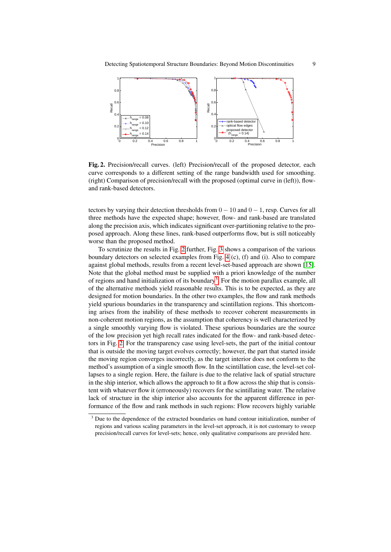

<span id="page-8-0"></span>Fig. 2. Precision/recall curves. (left) Precision/recall of the proposed detector, each curve corresponds to a different setting of the range bandwidth used for smoothing. (right) Comparison of precision/recall with the proposed (optimal curve in (left)), flowand rank-based detectors.

tectors by varying their detection thresholds from  $0 - 10$  and  $0 - 1$ , resp. Curves for all three methods have the expected shape; however, flow- and rank-based are translated along the precision axis, which indicates significant over-partitioning relative to the proposed approach. Along these lines, rank-based outperforms flow, but is still noticeably worse than the proposed method.

To scrutinize the results in Fig. [2](#page-8-0) further, Fig. [3](#page-9-0) shows a comparison of the various boundary detectors on selected examples from Fig. [4](#page-11-0) (c), (f) and (i). Also to compare against global methods, results from a recent level-set-based approach are shown [\[15\]](#page-10-14). Note that the global method must be supplied with a priori knowledge of the number of regions and hand initialization of its boundary<sup>[3](#page-8-1)</sup>. For the motion parallax example, all of the alternative methods yield reasonable results. This is to be expected, as they are designed for motion boundaries. In the other two examples, the flow and rank methods yield spurious boundaries in the transparency and scintillation regions. This shortcoming arises from the inability of these methods to recover coherent measurements in non-coherent motion regions, as the assumption that coherency is well characterized by a single smoothly varying flow is violated. These spurious boundaries are the source of the low precision yet high recall rates indicated for the flow- and rank-based detectors in Fig. [2.](#page-8-0) For the transparency case using level-sets, the part of the initial contour that is outside the moving target evolves correctly; however, the part that started inside the moving region converges incorrectly, as the target interior does not conform to the method's assumption of a single smooth flow. In the scintillation case, the level-set collapses to a single region. Here, the failure is due to the relative lack of spatial structure in the ship interior, which allows the approach to fit a flow across the ship that is consistent with whatever flow it (erroneously) recovers for the scintillating water. The relative lack of structure in the ship interior also accounts for the apparent difference in performance of the flow and rank methods in such regions: Flow recovers highly variable

<span id="page-8-1"></span><sup>&</sup>lt;sup>3</sup> Due to the dependence of the extracted boundaries on hand contour initialization, number of regions and various scaling parameters in the level-set approach, it is not customary to sweep precision/recall curves for level-sets; hence, only qualitative comparisons are provided here.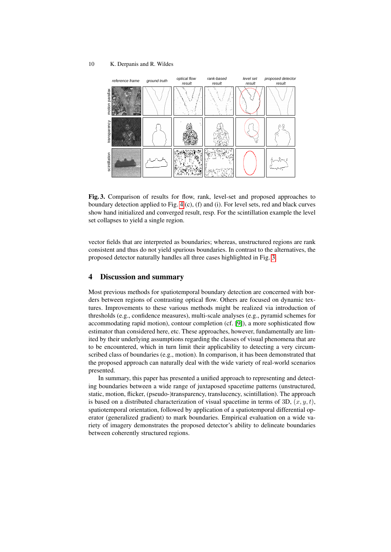

<span id="page-9-0"></span>Fig. 3. Comparison of results for flow, rank, level-set and proposed approaches to boundary detection applied to Fig. [4](#page-11-0) (c), (f) and (i). For level sets, red and black curves show hand initialized and converged result, resp. For the scintillation example the level set collapses to yield a single region.

vector fields that are interpreted as boundaries; whereas, unstructured regions are rank consistent and thus do not yield spurious boundaries. In contrast to the alternatives, the proposed detector naturally handles all three cases highlighted in Fig. [3.](#page-9-0)

# 4 Discussion and summary

Most previous methods for spatiotemporal boundary detection are concerned with borders between regions of contrasting optical flow. Others are focused on dynamic textures. Improvements to these various methods might be realized via introduction of thresholds (e.g., confidence measures), multi-scale analyses (e.g., pyramid schemes for accommodating rapid motion), contour completion (cf. [\[9\]](#page-10-8)), a more sophisticated flow estimator than considered here, etc. These approaches, however, fundamentally are limited by their underlying assumptions regarding the classes of visual phenomena that are to be encountered, which in turn limit their applicability to detecting a very circumscribed class of boundaries (e.g., motion). In comparison, it has been demonstrated that the proposed approach can naturally deal with the wide variety of real-world scenarios presented.

In summary, this paper has presented a unified approach to representing and detecting boundaries between a wide range of juxtaposed spacetime patterns (unstructured, static, motion, flicker, (pseudo-)transparency, translucency, scintillation). The approach is based on a distributed characterization of visual spacetime in terms of 3D,  $(x, y, t)$ , spatiotemporal orientation, followed by application of a spatiotemporal differential operator (generalized gradient) to mark boundaries. Empirical evaluation on a wide variety of imagery demonstrates the proposed detector's ability to delineate boundaries between coherently structured regions.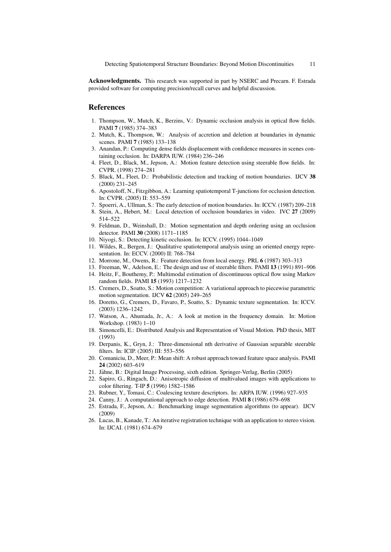Acknowledgments. This research was supported in part by NSERC and Precarn. F. Estrada provided software for computing precision/recall curves and helpful discussion.

# References

- <span id="page-10-0"></span>1. Thompson, W., Mutch, K., Berzins, V.: Dynamic occlusion analysis in optical flow fields. PAMI 7 (1985) 374–383
- <span id="page-10-1"></span>2. Mutch, K., Thompson, W.: Analysis of accretion and deletion at boundaries in dynamic scenes. PAMI 7 (1985) 133–138
- <span id="page-10-2"></span>3. Anandan, P.: Computing dense fields displacement with confidence measures in scenes containing occlusion. In: DARPA IUW. (1984) 236–246
- <span id="page-10-3"></span>4. Fleet, D., Black, M., Jepson, A.: Motion feature detection using steerable flow fields. In: CVPR. (1998) 274–281
- <span id="page-10-4"></span>5. Black, M., Fleet, D.: Probabilistic detection and tracking of motion boundaries. IJCV 38 (2000) 231–245
- <span id="page-10-5"></span>6. Apostoloff, N., Fitzgibbon, A.: Learning spatiotemporal T-junctions for occlusion detection. In: CVPR. (2005) II: 553–559
- <span id="page-10-6"></span>7. Spoerri, A., Ullman, S.: The early detection of motion boundaries. In: ICCV. (1987) 209–218
- <span id="page-10-7"></span>8. Stein, A., Hebert, M.: Local detection of occlusion boundaries in video. IVC 27 (2009) 514–522
- <span id="page-10-8"></span>9. Feldman, D., Weinshall, D.: Motion segmentation and depth ordering using an occlusion detector. PAMI 30 (2008) 1171–1185
- <span id="page-10-9"></span>10. Niyogi, S.: Detecting kinetic occlusion. In: ICCV. (1995) 1044–1049
- <span id="page-10-10"></span>11. Wildes, R., Bergen, J.: Qualitative spatiotemporal analysis using an oriented energy representation. In: ECCV. (2000) II: 768–784
- <span id="page-10-11"></span>12. Morrone, M., Owens, R.: Feature detection from local energy. PRL 6 (1987) 303–313
- <span id="page-10-12"></span>13. Freeman, W., Adelson, E.: The design and use of steerable filters. PAMI 13 (1991) 891–906
- <span id="page-10-13"></span>14. Heitz, F., Bouthemy, P.: Multimodal estimation of discontinuous optical flow using Markov random fields. PAMI 15 (1993) 1217–1232
- <span id="page-10-14"></span>15. Cremers, D., Soatto, S.: Motion competition: A variational approach to piecewise parametric motion segmentation. IJCV 62 (2005) 249–265
- <span id="page-10-15"></span>16. Doretto, G., Cremers, D., Favaro, P., Soatto, S.: Dynamic texture segmentation. In: ICCV. (2003) 1236–1242
- <span id="page-10-16"></span>17. Watson, A., Ahumada, Jr., A.: A look at motion in the frequency domain. In: Motion Workshop. (1983) 1–10
- <span id="page-10-17"></span>18. Simoncelli, E.: Distributed Analysis and Representation of Visual Motion. PhD thesis, MIT (1993)
- <span id="page-10-18"></span>19. Derpanis, K., Gryn, J.: Three-dimensional nth derivative of Gaussian separable steerable filters. In: ICIP. (2005) III: 553–556
- <span id="page-10-19"></span>20. Comaniciu, D., Meer, P.: Mean shift: A robust approach toward feature space analysis. PAMI 24 (2002) 603–619
- <span id="page-10-20"></span>21. Jähne, B.: Digital Image Processing, sixth edition. Springer-Verlag, Berlin (2005)
- <span id="page-10-21"></span>22. Sapiro, G., Ringach, D.: Anisotropic diffusion of multivalued images with applications to color filtering. T-IP 5 (1996) 1582–1586
- <span id="page-10-23"></span>23. Rubner, Y., Tomasi, C.: Coalescing texture descriptors. In: ARPA IUW. (1996) 927–935
- <span id="page-10-22"></span>24. Canny, J.: A computational approach to edge detection. PAMI 8 (1986) 679–698
- <span id="page-10-24"></span>25. Estrada, F., Jepson, A.: Benchmarking image segmentation algorithms (to appear). IJCV (2009)
- <span id="page-10-25"></span>26. Lucas, B., Kanade, T.: An iterative registration technique with an application to stereo vision. In: IJCAI. (1981) 674–679